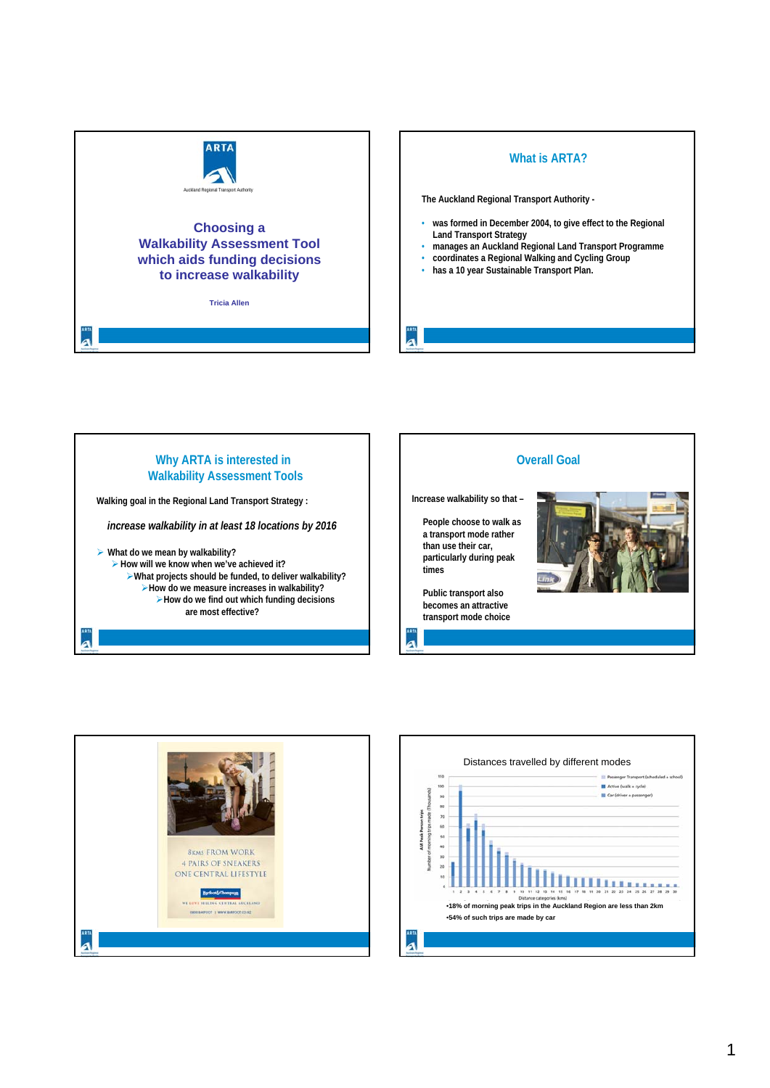

## **What is ARTA?**

**The Auckland Regional Transport Authority -**

- **was formed in December 2004, to give effect to the Regional Land Transport Strategy**
- **manages an Auckland Regional Land Transport Programme**
- **coordinates a Regional Walking and Cycling Group**
- **has a 10 year Sustainable Transport Plan.**

**Why ARTA is interested in Walkability Assessment Tools Walking goal in the Regional Land Transport Strategy :** *increase walkability in at least 18 locations by 2016* ¾ **What do we mean by walkability?** ¾**How will we know when we've achieved it?** ¾**What projects should be funded, to deliver walkability?** ¾**How do we measure increases in walkability?** ¾**How do we find out which funding decisions are most effective?**





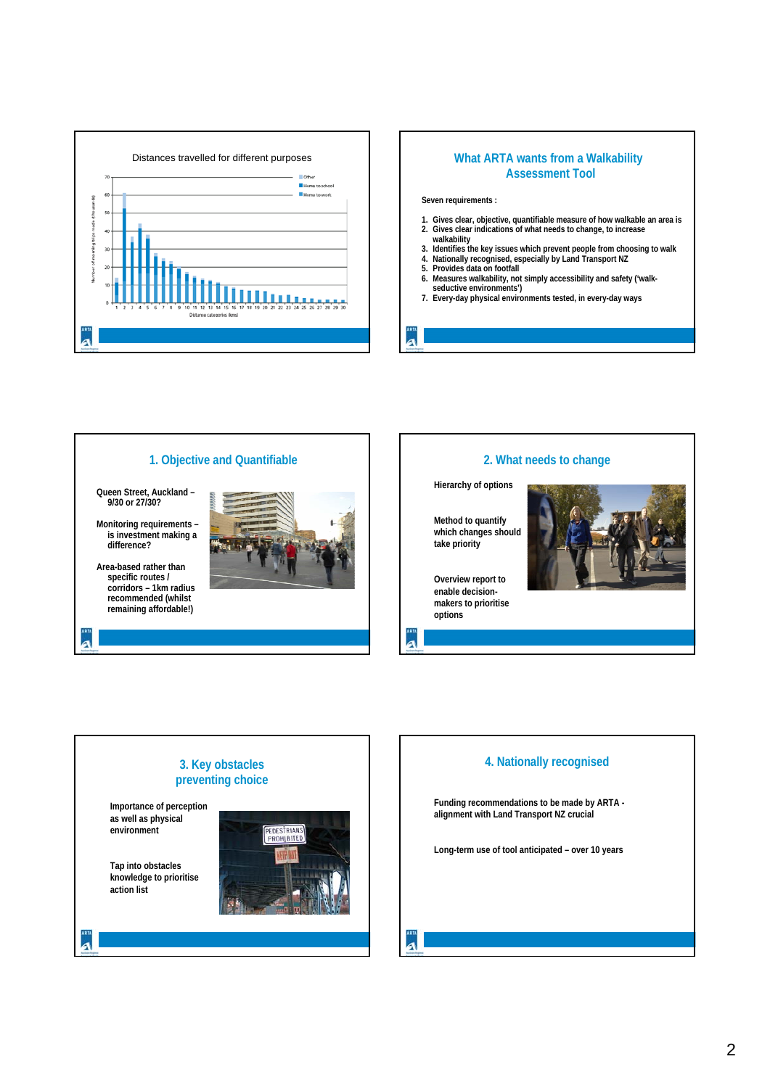





**3. Key obstacles preventing choice**

## **2. What needs to change**

**Hierarchy of options**

**Method to quantify which changes should take priority**



**Overview report to enable decisionmakers to prioritise options**

#### **4. Nationally recognised**

**Funding recommendations to be made by ARTA alignment with Land Transport NZ crucial**

**Long-term use of tool anticipated – over 10 years**

**Tap into obstacles knowledge to prioritise action list**

**Importance of perception as well as physical environment**

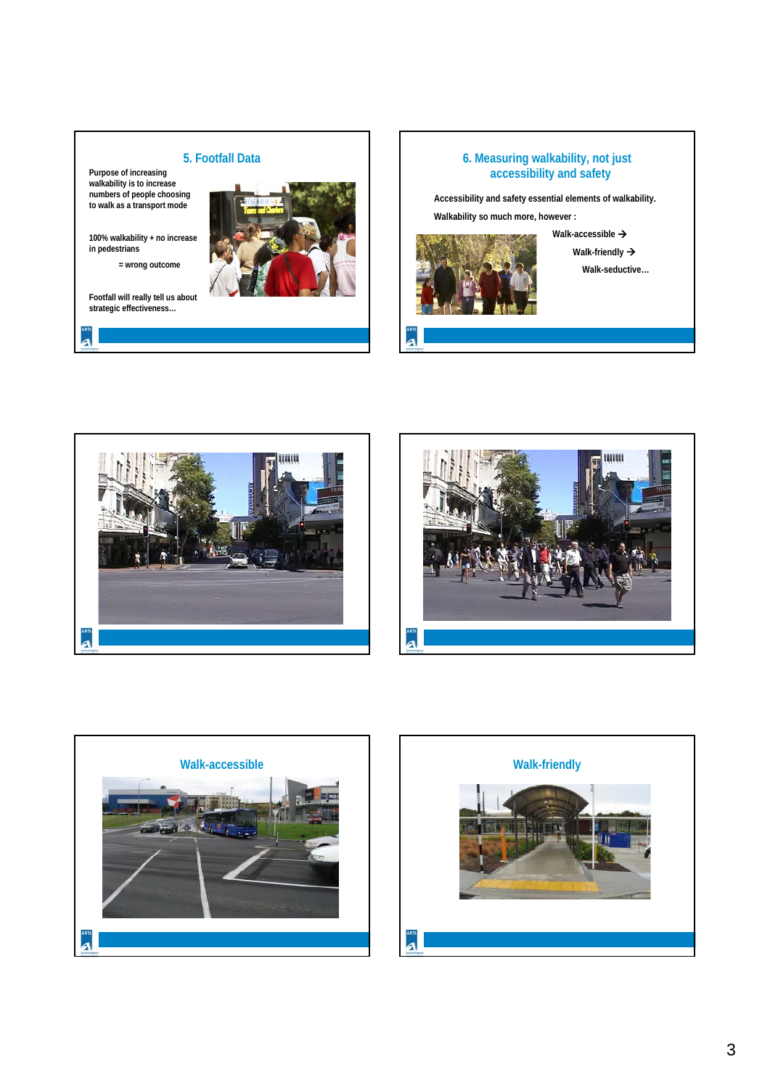# **5. Footfall Data**

**Purpose of increasing walkability is to increase numbers of people choosing to walk as a transport mode**

**100% walkability + no increase in pedestrians** 

**= wrong outcome**

**Footfall will really tell us about strategic effectiveness…**

a



### **6. Measuring walkability, not just accessibility and safety**

**Accessibility and safety essential elements of walkability.**

**Walkability so much more, however :**



d

**Walk-accessible →** 

**Walk-friendly → Walk-seductive…**